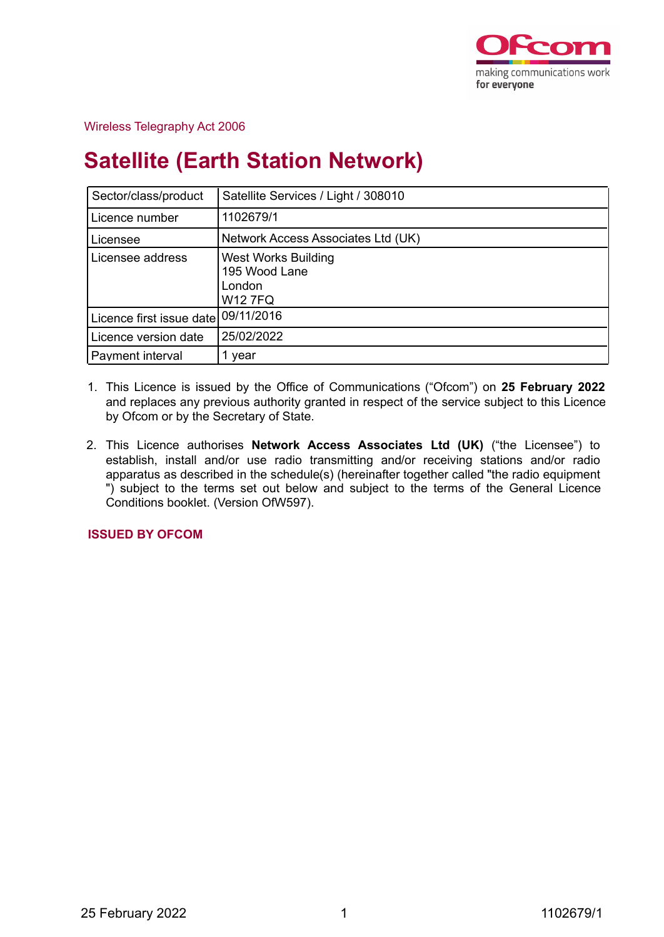

## Wireless Telegraphy Act 2006

# **Satellite (Earth Station Network)**

| Sector/class/product                | Satellite Services / Light / 308010                                     |
|-------------------------------------|-------------------------------------------------------------------------|
| Licence number                      | 1102679/1                                                               |
| Licensee                            | Network Access Associates Ltd (UK)                                      |
| Licensee address                    | <b>West Works Building</b><br>195 Wood Lane<br>London<br><b>W12 7FQ</b> |
| Licence first issue date 09/11/2016 |                                                                         |
| Licence version date                | 25/02/2022                                                              |
| Payment interval                    | year                                                                    |

- 1. This Licence is issued by the Office of Communications ("Ofcom") on **25 February 2022** and replaces any previous authority granted in respect of the service subject to this Licence by Ofcom or by the Secretary of State.
- 2. This Licence authorises **Network Access Associates Ltd (UK)** ("the Licensee") to establish, install and/or use radio transmitting and/or receiving stations and/or radio apparatus as described in the schedule(s) (hereinafter together called "the radio equipment ") subject to the terms set out below and subject to the terms of the General Licence Conditions booklet. (Version OfW597).

**ISSUED BY OFCOM**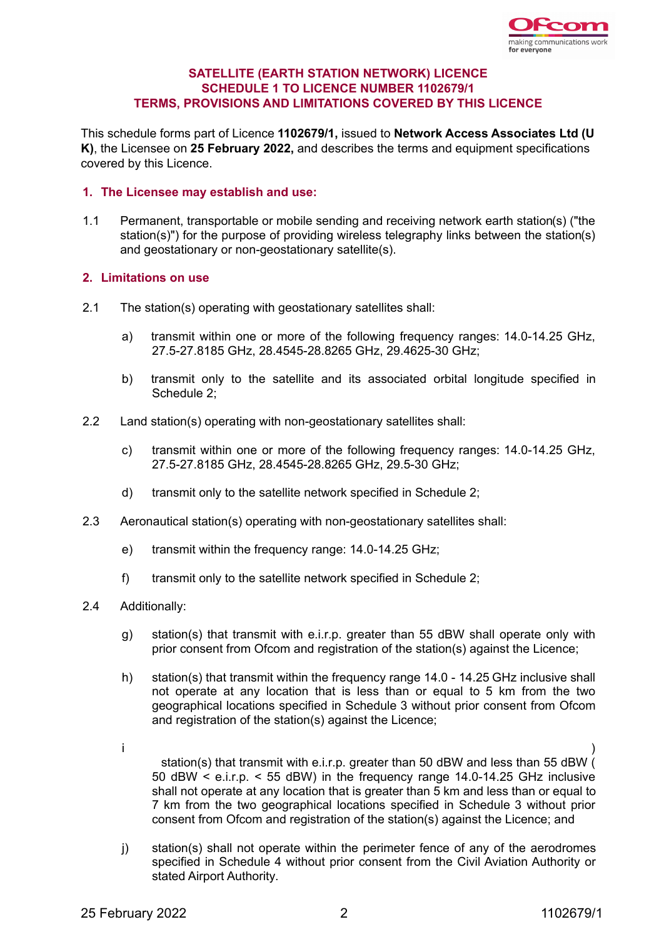

## **SATELLITE (EARTH STATION NETWORK) LICENCE SCHEDULE 1 TO LICENCE NUMBER 1102679/1 TERMS, PROVISIONS AND LIMITATIONS COVERED BY THIS LICENCE**

This schedule forms part of Licence **1102679/1,** issued to **Network Access Associates Ltd (U K)**, the Licensee on **25 February 2022,** and describes the terms and equipment specifications covered by this Licence.

## **1. The Licensee may establish and use:**

1.1 Permanent, transportable or mobile sending and receiving network earth station(s) ("the station(s)") for the purpose of providing wireless telegraphy links between the station(s) and geostationary or non-geostationary satellite(s).

## **2. Limitations on use**

- 2.1 The station(s) operating with geostationary satellites shall:
	- a) transmit within one or more of the following frequency ranges: 14.0-14.25 GHz, 27.5-27.8185 GHz, 28.4545-28.8265 GHz, 29.4625-30 GHz;
	- b) transmit only to the satellite and its associated orbital longitude specified in Schedule 2;
- 2.2 Land station(s) operating with non-geostationary satellites shall:
	- c) transmit within one or more of the following frequency ranges: 14.0-14.25 GHz, 27.5-27.8185 GHz, 28.4545-28.8265 GHz, 29.5-30 GHz;
	- d) transmit only to the satellite network specified in Schedule 2;
- 2.3 Aeronautical station(s) operating with non-geostationary satellites shall:
	- e) transmit within the frequency range: 14.0-14.25 GHz;
	- f) transmit only to the satellite network specified in Schedule 2;
- 2.4 Additionally:
	- g) station(s) that transmit with e.i.r.p. greater than 55 dBW shall operate only with prior consent from Ofcom and registration of the station(s) against the Licence;
	- h) station(s) that transmit within the frequency range 14.0 14.25 GHz inclusive shall not operate at any location that is less than or equal to 5 km from the two geographical locations specified in Schedule 3 without prior consent from Ofcom and registration of the station(s) against the Licence;
	- i ) station(s) that transmit with e.i.r.p. greater than 50 dBW and less than 55 dBW  $($ 50 dBW < e.i.r.p. < 55 dBW) in the frequency range 14.0-14.25 GHz inclusive shall not operate at any location that is greater than 5 km and less than or equal to 7 km from the two geographical locations specified in Schedule 3 without prior consent from Ofcom and registration of the station(s) against the Licence; and
	- j) station(s) shall not operate within the perimeter fence of any of the aerodromes specified in Schedule 4 without prior consent from the Civil Aviation Authority or stated Airport Authority.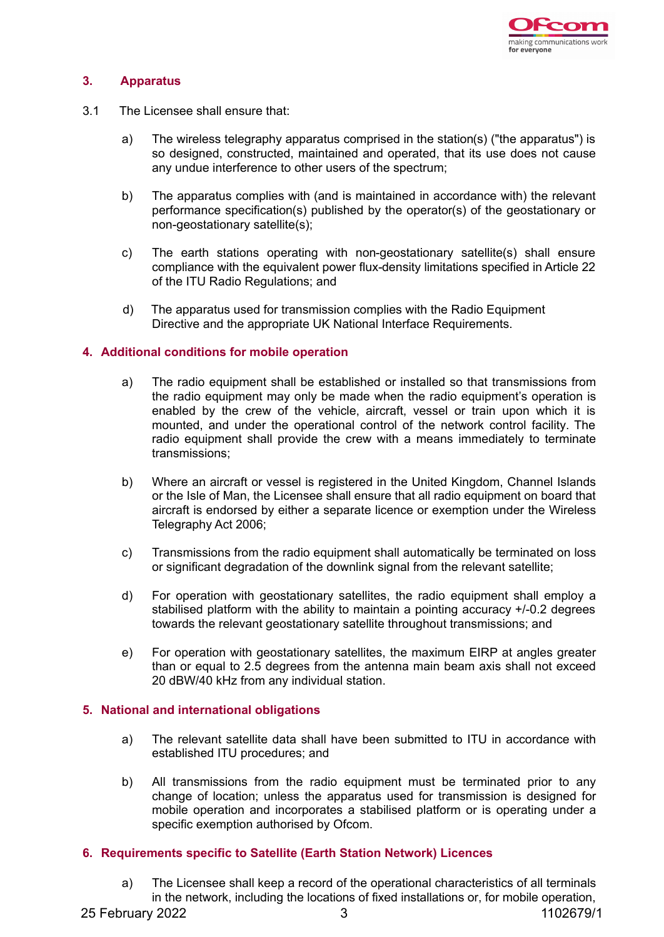

## **3. Apparatus**

- 3.1 The Licensee shall ensure that:
	- a) The wireless telegraphy apparatus comprised in the station(s) ("the apparatus") is so designed, constructed, maintained and operated, that its use does not cause any undue interference to other users of the spectrum;
	- b) The apparatus complies with (and is maintained in accordance with) the relevant performance specification(s) published by the operator(s) of the geostationary or non-geostationary satellite(s);
	- c) The earth stations operating with non-geostationary satellite(s) shall ensure compliance with the equivalent power flux-density limitations specified in Article 22 of the ITU Radio Regulations; and
	- d) The apparatus used for transmission complies with the Radio Equipment Directive and the appropriate UK National Interface Requirements.

## **4. Additional conditions for mobile operation**

- a) The radio equipment shall be established or installed so that transmissions from the radio equipment may only be made when the radio equipment's operation is enabled by the crew of the vehicle, aircraft, vessel or train upon which it is mounted, and under the operational control of the network control facility. The radio equipment shall provide the crew with a means immediately to terminate transmissions;
- b) Where an aircraft or vessel is registered in the United Kingdom, Channel Islands or the Isle of Man, the Licensee shall ensure that all radio equipment on board that aircraft is endorsed by either a separate licence or exemption under the Wireless Telegraphy Act 2006;
- c) Transmissions from the radio equipment shall automatically be terminated on loss or significant degradation of the downlink signal from the relevant satellite;
- d) For operation with geostationary satellites, the radio equipment shall employ a stabilised platform with the ability to maintain a pointing accuracy +/-0.2 degrees towards the relevant geostationary satellite throughout transmissions; and
- e) For operation with geostationary satellites, the maximum EIRP at angles greater than or equal to 2.5 degrees from the antenna main beam axis shall not exceed 20 dBW/40 kHz from any individual station.

## **5. National and international obligations**

- a) The relevant satellite data shall have been submitted to ITU in accordance with established ITU procedures; and
- b) All transmissions from the radio equipment must be terminated prior to any change of location; unless the apparatus used for transmission is designed for mobile operation and incorporates a stabilised platform or is operating under a specific exemption authorised by Ofcom.

## **6. Requirements specific to Satellite (Earth Station Network) Licences**

a) The Licensee shall keep a record of the operational characteristics of all terminals in the network, including the locations of fixed installations or, for mobile operation,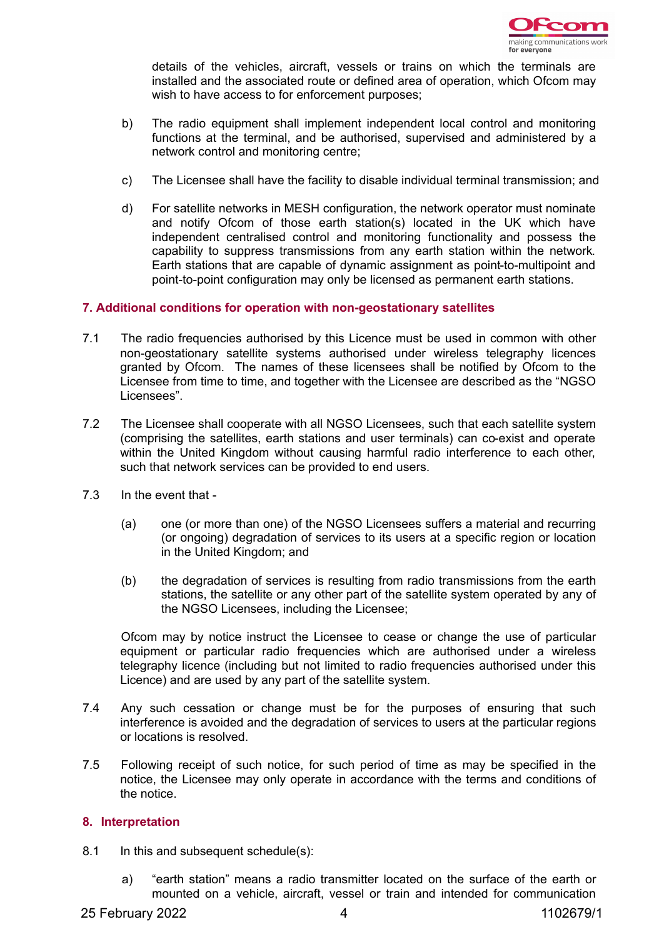

details of the vehicles, aircraft, vessels or trains on which the terminals are installed and the associated route or defined area of operation, which Ofcom may wish to have access to for enforcement purposes;

- b) The radio equipment shall implement independent local control and monitoring functions at the terminal, and be authorised, supervised and administered by a network control and monitoring centre;
- c) The Licensee shall have the facility to disable individual terminal transmission; and
- d) For satellite networks in MESH configuration, the network operator must nominate and notify Ofcom of those earth station(s) located in the UK which have independent centralised control and monitoring functionality and possess the capability to suppress transmissions from any earth station within the network. Earth stations that are capable of dynamic assignment as point-to-multipoint and point-to-point configuration may only be licensed as permanent earth stations.

## **7. Additional conditions for operation with non-geostationary satellites**

- 7.1 The radio frequencies authorised by this Licence must be used in common with other non-geostationary satellite systems authorised under wireless telegraphy licences granted by Ofcom. The names of these licensees shall be notified by Ofcom to the Licensee from time to time, and together with the Licensee are described as the "NGSO Licensees".
- 7.2 The Licensee shall cooperate with all NGSO Licensees, such that each satellite system (comprising the satellites, earth stations and user terminals) can co-exist and operate within the United Kingdom without causing harmful radio interference to each other, such that network services can be provided to end users.
- 7.3 In the event that
	- (a) one (or more than one) of the NGSO Licensees suffers a material and recurring (or ongoing) degradation of services to its users at a specific region or location in the United Kingdom; and
	- (b) the degradation of services is resulting from radio transmissions from the earth stations, the satellite or any other part of the satellite system operated by any of the NGSO Licensees, including the Licensee;

Ofcom may by notice instruct the Licensee to cease or change the use of particular equipment or particular radio frequencies which are authorised under a wireless telegraphy licence (including but not limited to radio frequencies authorised under this Licence) and are used by any part of the satellite system.

- 7.4 Any such cessation or change must be for the purposes of ensuring that such interference is avoided and the degradation of services to users at the particular regions or locations is resolved.
- 7.5 Following receipt of such notice, for such period of time as may be specified in the notice, the Licensee may only operate in accordance with the terms and conditions of the notice.

## **8. Interpretation**

- 8.1 In this and subsequent schedule(s):
	- a) "earth station" means a radio transmitter located on the surface of the earth or mounted on a vehicle, aircraft, vessel or train and intended for communication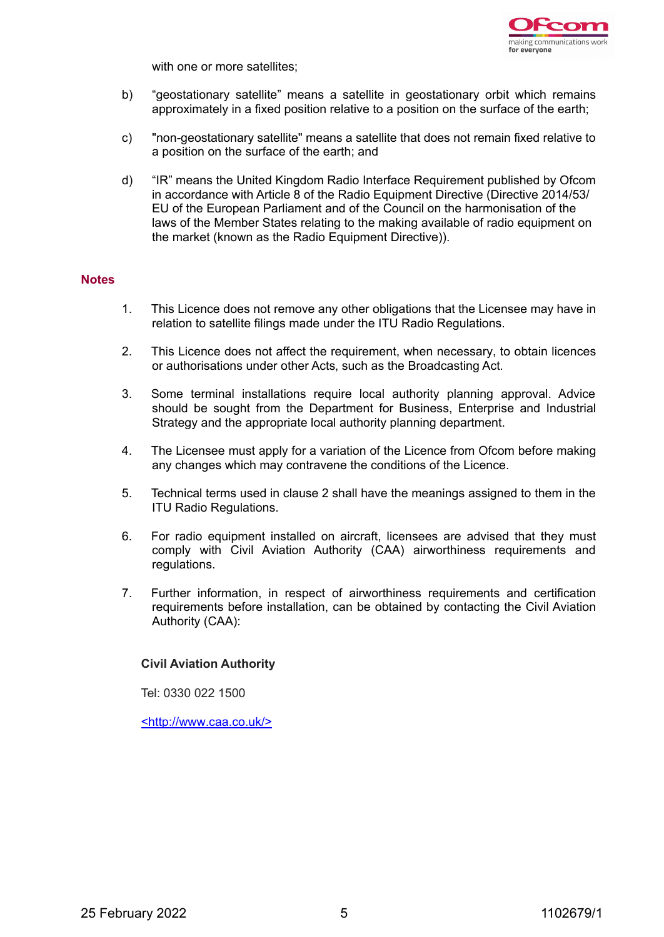

with one or more satellites;

- b) "geostationary satellite" means a satellite in geostationary orbit which remains approximately in a fixed position relative to a position on the surface of the earth;
- c) "non-geostationary satellite" means a satellite that does not remain fixed relative to a position on the surface of the earth; and
- d) "IR" means the United Kingdom Radio Interface Requirement published by Ofcom in accordance with Article 8 of the Radio Equipment Directive (Directive 2014/53/ EU of the European Parliament and of the Council on the harmonisation of the laws of the Member States relating to the making available of radio equipment on the market (known as the Radio Equipment Directive)).

## **Notes**

- 1. This Licence does not remove any other obligations that the Licensee may have in relation to satellite filings made under the ITU Radio Regulations.
- 2. This Licence does not affect the requirement, when necessary, to obtain licences or authorisations under other Acts, such as the Broadcasting Act.
- 3. Some terminal installations require local authority planning approval. Advice should be sought from the Department for Business, Enterprise and Industrial Strategy and the appropriate local authority planning department.
- 4. The Licensee must apply for a variation of the Licence from Ofcom before making any changes which may contravene the conditions of the Licence.
- 5. Technical terms used in clause 2 shall have the meanings assigned to them in the ITU Radio Regulations.
- 6. For radio equipment installed on aircraft, licensees are advised that they must comply with Civil Aviation Authority (CAA) airworthiness requirements and regulations.
- 7. Further information, in respect of airworthiness requirements and certification requirements before installation, can be obtained by contacting the Civil Aviation Authority (CAA):

## **Civil Aviation Authority**

Tel: 0330 022 1500

<http://www.caa.co.uk/>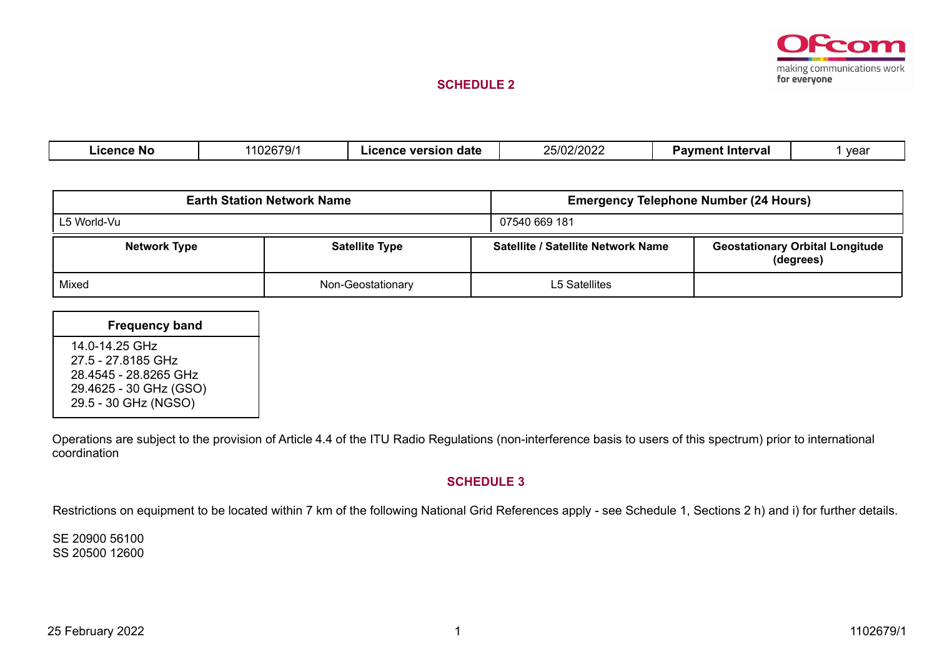

## **SCHEDULE 2**

| .icence No | ົງລຂ70/1<br>.uzr<br>'' JI | date<br>version<br>ıcence | רחרורחואר<br>IUZIZUZZ<br>' اك- | ∵Interval<br>Paymer. | vear |
|------------|---------------------------|---------------------------|--------------------------------|----------------------|------|
|            |                           |                           |                                |                      |      |

|                     | <b>Earth Station Network Name</b> | <b>Emergency Telephone Number (24 Hours)</b> |                                                     |  |  |
|---------------------|-----------------------------------|----------------------------------------------|-----------------------------------------------------|--|--|
| L5 World-Vu         |                                   | 07540 669 181                                |                                                     |  |  |
| <b>Network Type</b> | <b>Satellite Type</b>             | Satellite / Satellite Network Name           | <b>Geostationary Orbital Longitude</b><br>(degrees) |  |  |
| Mixed               | Non-Geostationary                 | L5 Satellites                                |                                                     |  |  |

| <b>Frequency band</b>                                                                                           |  |
|-----------------------------------------------------------------------------------------------------------------|--|
| 14.0-14.25 GHz<br>27.5 - 27.8185 GHz<br>28.4545 - 28.8265 GHz<br>29.4625 - 30 GHz (GSO)<br>29.5 - 30 GHz (NGSO) |  |

Operations are subject to the provision of Article 4.4 of the ITU Radio Regulations (non-interference basis to users of this spectrum) prior to international coordination

### **SCHEDULE 3**

Restrictions on equipment to be located within 7 km of the following National Grid References apply - see Schedule 1, Sections 2 h) and i) for further details.

SE 20900 56100 SS 20500 12600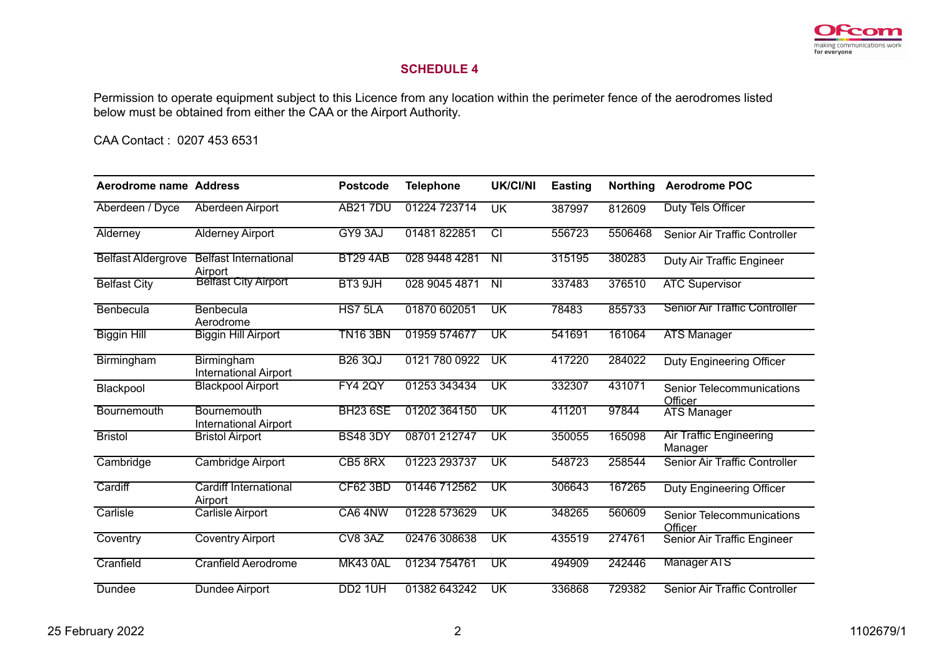

## **SCHEDULE 4**

Permission to operate equipment subject to this Licence from any location within the perimeter fence of the aerodromes listed below must be obtained from either the CAA or the Airport Authority.

CAA Contact : 0207 453 6531

| Aerodrome name Address    |                                             | <b>Postcode</b>     | <b>Telephone</b> | <b>UK/CI/NI</b>          | <b>Easting</b> | <b>Northing</b> | <b>Aerodrome POC</b>                      |
|---------------------------|---------------------------------------------|---------------------|------------------|--------------------------|----------------|-----------------|-------------------------------------------|
| Aberdeen / Dyce           | Aberdeen Airport                            | <b>AB217DU</b>      | 01224 723714     | <b>UK</b>                | 387997         | 812609          | Duty Tels Officer                         |
| Alderney                  | <b>Alderney Airport</b>                     | GY9 3AJ             | 01481822851      | टा                       | 556723         | 5506468         | Senior Air Traffic Controller             |
| <b>Belfast Aldergrove</b> | <b>Belfast International</b><br>Airport     | <b>BT29 4AB</b>     | 028 9448 4281    | $\overline{N}$           | 315195         | 380283          | Duty Air Traffic Engineer                 |
| <b>Belfast City</b>       | <b>Belfast City Airport</b>                 | BT3 9JH             | 028 9045 4871    | $\overline{\mathsf{N}}$  | 337483         | 376510          | <b>ATC Supervisor</b>                     |
| Benbecula                 | Benbecula<br>Aerodrome                      | HS7 5LA             | 01870 602051     | UK                       | 78483          | 855733          | <b>Senior Air Traffic Controller</b>      |
| <b>Biggin Hill</b>        | <b>Biggin Hill Airport</b>                  | <b>TN16 3BN</b>     | 01959 574677     | UK                       | 541691         | 161064          | <b>ATS Manager</b>                        |
| Birmingham                | Birmingham<br><b>International Airport</b>  | <b>B26 3QJ</b>      | 0121 780 0922    | UK                       | 417220         | 284022          | Duty Engineering Officer                  |
| Blackpool                 | <b>Blackpool Airport</b>                    | <b>FY4 2QY</b>      | 01253 343434     | UK                       | 332307         | 431071          | Senior Telecommunications<br>Officer      |
| Bournemouth               | Bournemouth<br><b>International Airport</b> | <b>BH23 6SE</b>     | 01202 364150     | UK                       | 411201         | 97844           | <b>ATS Manager</b>                        |
| <b>Bristol</b>            | <b>Bristol Airport</b>                      | <b>BS48 3DY</b>     | 08701 212747     | UK                       | 350055         | 165098          | <b>Air Traffic Engineering</b><br>Manager |
| Cambridge                 | <b>Cambridge Airport</b>                    | CB5 8RX             | 01223 293737     | UK                       | 548723         | 258544          | Senior Air Traffic Controller             |
| Cardiff                   | Cardiff International<br>Airport            | <b>CF62 3BD</b>     | 01446 712562     | UK                       | 306643         | 167265          | Duty Engineering Officer                  |
| Carlisle                  | <b>Carlisle Airport</b>                     | CA6 4NW             | 01228 573629     | $\overline{\mathsf{UK}}$ | 348265         | 560609          | Senior Telecommunications<br>Officer      |
| Coventry                  | <b>Coventry Airport</b>                     | CV8 3AZ             | 02476 308638     | UK                       | 435519         | 274761          | Senior Air Traffic Engineer               |
| Cranfield                 | <b>Cranfield Aerodrome</b>                  | <b>MK43 0AL</b>     | 01234 754761     | UK                       | 494909         | 242446          | <b>Manager ATS</b>                        |
| Dundee                    | Dundee Airport                              | DD <sub>2</sub> 1UH | 01382 643242     | UK                       | 336868         | 729382          | Senior Air Traffic Controller             |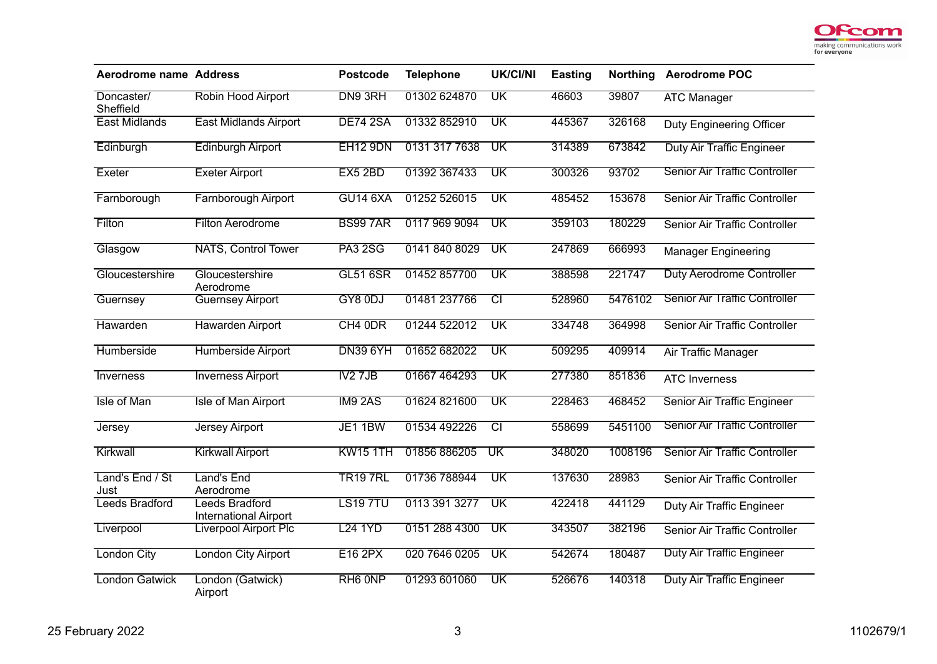

| <b>Aerodrome name Address</b> |                                                       | <b>Postcode</b>     | <b>Telephone</b> | <b>UK/CI/NI</b>           | <b>Easting</b> | <b>Northing</b> | <b>Aerodrome POC</b>                 |
|-------------------------------|-------------------------------------------------------|---------------------|------------------|---------------------------|----------------|-----------------|--------------------------------------|
| Doncaster/<br>Sheffield       | Robin Hood Airport                                    | DN9 3RH             | 01302 624870     | $\overline{\mathsf{UK}}$  | 46603          | 39807           | <b>ATC Manager</b>                   |
| <b>East Midlands</b>          | <b>East Midlands Airport</b>                          | <b>DE74 2SA</b>     | 01332 852910     | UK                        | 445367         | 326168          | Duty Engineering Officer             |
| Edinburgh                     | <b>Edinburgh Airport</b>                              | <b>EH12 9DN</b>     | 0131 317 7638    | $\overline{\mathsf{UK}}$  | 314389         | 673842          | <b>Duty Air Traffic Engineer</b>     |
| Exeter                        | <b>Exeter Airport</b>                                 | EX5 2BD             | 01392 367433     | $\overline{\text{UK}}$    | 300326         | 93702           | <b>Senior Air Traffic Controller</b> |
| Farnborough                   | <b>Farnborough Airport</b>                            | <b>GU14 6XA</b>     | 01252 526015     | $\overline{\textsf{UK}}$  | 485452         | 153678          | Senior Air Traffic Controller        |
| Filton                        | <b>Filton Aerodrome</b>                               | <b>BS997AR</b>      | 0117 969 9094    | $\overline{\mathsf{UK}}$  | 359103         | 180229          | Senior Air Traffic Controller        |
| Glasgow                       | <b>NATS, Control Tower</b>                            | <b>PA3 2SG</b>      | 0141 840 8029    | $\overline{\mathsf{UK}}$  | 247869         | 666993          | <b>Manager Engineering</b>           |
| Gloucestershire               | Gloucestershire<br>Aerodrome                          | <b>GL51 6SR</b>     | 01452 857700     | UK                        | 388598         | 221747          | Duty Aerodrome Controller            |
| Guernsey                      | <b>Guernsey Airport</b>                               | GY8 0DJ             | 01481 237766     | टा                        | 528960         | 5476102         | <b>Senior Air Traffic Controller</b> |
| Hawarden                      | <b>Hawarden Airport</b>                               | CH4 0DR             | 01244 522012     | $\overline{\mathsf{UK}}$  | 334748         | 364998          | Senior Air Traffic Controller        |
| Humberside                    | Humberside Airport                                    | <b>DN39 6YH</b>     | 01652 682022     | $\overline{\textsf{UK}}$  | 509295         | 409914          | <b>Air Traffic Manager</b>           |
| Inverness                     | <b>Inverness Airport</b>                              | IV27JB              | 01667 464293     | UK                        | 277380         | 851836          | <b>ATC Inverness</b>                 |
| Isle of Man                   | <b>Isle of Man Airport</b>                            | IM9 2AS             | 01624 821600     | UK                        | 228463         | 468452          | Senior Air Traffic Engineer          |
| Jersey                        | <b>Jersey Airport</b>                                 | <b>JE1 1BW</b>      | 01534 492226     | टा                        | 558699         | 5451100         | <b>Senior Air Traffic Controller</b> |
| Kirkwall                      | <b>Kirkwall Airport</b>                               | <b>KW15 1TH</b>     | 01856 886205     | $\overline{\text{UK}}$    | 348020         | 1008196         | <b>Senior Air Traffic Controller</b> |
| Land's End / St<br>Just       | Land's End<br>Aerodrome                               | <b>TR197RL</b>      | 01736 788944     | $\overline{\text{UK}}$    | 137630         | 28983           | Senior Air Traffic Controller        |
| Leeds Bradford                | <b>Leeds Bradford</b><br><b>International Airport</b> | <b>LS197TU</b>      | 0113 391 3277    | $\overline{\mathsf{UK}}$  | 422418         | 441129          | Duty Air Traffic Engineer            |
| Liverpool                     | <b>Liverpool Airport Plc</b>                          | <b>L24 1YD</b>      | 0151 288 4300    | $\overline{\mathsf{U}}$ K | 343507         | 382196          | Senior Air Traffic Controller        |
| <b>London City</b>            | <b>London City Airport</b>                            | <b>E16 2PX</b>      | 020 7646 0205    | $\overline{\mathsf{UK}}$  | 542674         | 180487          | Duty Air Traffic Engineer            |
| <b>London Gatwick</b>         | London (Gatwick)<br>Airport                           | RH <sub>6</sub> ONP | 01293 601060     | $\overline{\textsf{UK}}$  | 526676         | 140318          | <b>Duty Air Traffic Engineer</b>     |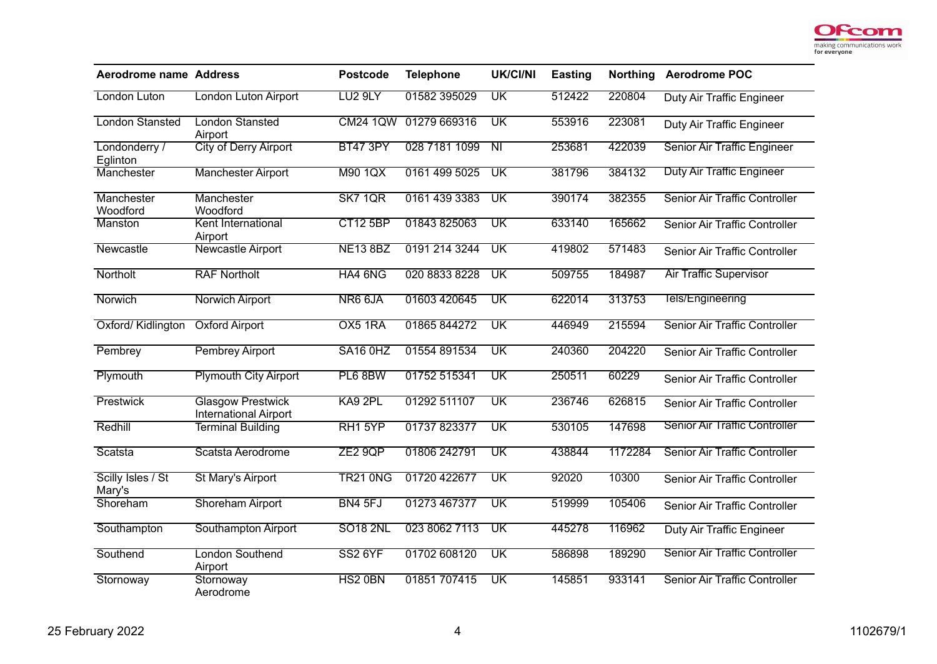

| <b>Aerodrome name Address</b> |                                                          | <b>Postcode</b>     | <b>Telephone</b> | <b>UK/CI/NI</b>          | <b>Easting</b> | <b>Northing</b> | <b>Aerodrome POC</b>                 |
|-------------------------------|----------------------------------------------------------|---------------------|------------------|--------------------------|----------------|-----------------|--------------------------------------|
| London Luton                  | London Luton Airport                                     | LU <sub>2</sub> 9LY | 01582 395029     | UK                       | 512422         | 220804          | Duty Air Traffic Engineer            |
| <b>London Stansted</b>        | <b>London Stansted</b><br>Airport                        | <b>CM24 1QW</b>     | 01279 669316     | $\overline{\mathsf{UK}}$ | 553916         | 223081          | Duty Air Traffic Engineer            |
| Londonderry /<br>Eglinton     | <b>City of Derry Airport</b>                             | <b>BT47 3PY</b>     | 028 7181 1099    | $\overline{\mathsf{N}}$  | 253681         | 422039          | Senior Air Traffic Engineer          |
| Manchester                    | <b>Manchester Airport</b>                                | <b>M90 1QX</b>      | 0161 499 5025    | $\overline{\mathsf{UK}}$ | 381796         | 384132          | <b>Duty Air Traffic Engineer</b>     |
| Manchester<br>Woodford        | Manchester<br>Woodford                                   | SK7 1QR             | 0161 439 3383    | $\overline{\textsf{UK}}$ | 390174         | 382355          | Senior Air Traffic Controller        |
| Manston                       | Kent International<br>Airport                            | <b>CT12 5BP</b>     | 01843 825063     | UK                       | 633140         | 165662          | Senior Air Traffic Controller        |
| Newcastle                     | <b>Newcastle Airport</b>                                 | <b>NE13 8BZ</b>     | 0191 214 3244    | $\overline{\textsf{UK}}$ | 419802         | 571483          | Senior Air Traffic Controller        |
| Northolt                      | <b>RAF Northolt</b>                                      | HA4 6NG             | 020 8833 8228    | UK                       | 509755         | 184987          | <b>Air Traffic Supervisor</b>        |
| Norwich                       | <b>Norwich Airport</b>                                   | NR6 6JA             | 01603 420645     | $\overline{\text{UK}}$   | 622014         | 313753          | Tels/Engineering                     |
| Oxford/ Kidlington            | <b>Oxford Airport</b>                                    | OX5 1RA             | 01865 844272     | $\overline{\textsf{UK}}$ | 446949         | 215594          | <b>Senior Air Traffic Controller</b> |
| Pembrey                       | <b>Pembrey Airport</b>                                   | SA16 0HZ            | 01554 891534     | UK                       | 240360         | 204220          | Senior Air Traffic Controller        |
| Plymouth                      | <b>Plymouth City Airport</b>                             | PL6 8BW             | 01752 515341     | $\overline{\mathsf{UK}}$ | 250511         | 60229           | Senior Air Traffic Controller        |
| Prestwick                     | <b>Glasgow Prestwick</b><br><b>International Airport</b> | KA9 2PL             | 01292 511107     | $\overline{\mathsf{UK}}$ | 236746         | 626815          | Senior Air Traffic Controller        |
| Redhill                       | <b>Terminal Building</b>                                 | RH1 5YP             | 01737823377      | $\overline{\textsf{UK}}$ | 530105         | 147698          | <b>Senior Air Traffic Controller</b> |
| Scatsta                       | Scatsta Aerodrome                                        | ZE2 9QP             | 01806 242791     | $\overline{\mathtt{UK}}$ | 438844         | 1172284         | <b>Senior Air Traffic Controller</b> |
| Scilly Isles / St<br>Mary's   | St Mary's Airport                                        | <b>TR21 ONG</b>     | 01720 422677     | $\overline{\mathtt{UK}}$ | 92020          | 10300           | Senior Air Traffic Controller        |
| Shoreham                      | <b>Shoreham Airport</b>                                  | BN4 5FJ             | 01273 467377     | $\overline{\mathsf{UK}}$ | 519999         | 105406          | Senior Air Traffic Controller        |
| Southampton                   | Southampton Airport                                      | <b>SO18 2NL</b>     | 023 8062 7113    | $\overline{\text{UK}}$   | 445278         | 116962          | Duty Air Traffic Engineer            |
| Southend                      | <b>London Southend</b><br>Airport                        | <b>SS2 6YF</b>      | 01702 608120     | $\overline{\text{UK}}$   | 586898         | 189290          | Senior Air Traffic Controller        |
| Stornoway                     | Stornoway<br>Aerodrome                                   | HS2 0BN             | 01851 707415     | $\overline{\textsf{UK}}$ | 145851         | 933141          | <b>Senior Air Traffic Controller</b> |